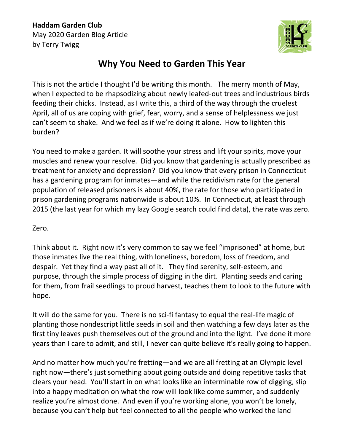

## **Why You Need to Garden This Year**

This is not the article I thought I'd be writing this month. The merry month of May, when I expected to be rhapsodizing about newly leafed-out trees and industrious birds feeding their chicks. Instead, as I write this, a third of the way through the cruelest April, all of us are coping with grief, fear, worry, and a sense of helplessness we just can't seem to shake. And we feel as if we're doing it alone. How to lighten this burden?

You need to make a garden. It will soothe your stress and lift your spirits, move your muscles and renew your resolve. Did you know that gardening is actually prescribed as treatment for anxiety and depression? Did you know that every prison in Connecticut has a gardening program for inmates—and while the recidivism rate for the general population of released prisoners is about 40%, the rate for those who participated in prison gardening programs nationwide is about 10%. In Connecticut, at least through 2015 (the last year for which my lazy Google search could find data), the rate was zero.

## Zero.

Think about it. Right now it's very common to say we feel "imprisoned" at home, but those inmates live the real thing, with loneliness, boredom, loss of freedom, and despair. Yet they find a way past all of it. They find serenity, self-esteem, and purpose, through the simple process of digging in the dirt. Planting seeds and caring for them, from frail seedlings to proud harvest, teaches them to look to the future with hope.

It will do the same for you. There is no sci-fi fantasy to equal the real-life magic of planting those nondescript little seeds in soil and then watching a few days later as the first tiny leaves push themselves out of the ground and into the light. I've done it more years than I care to admit, and still, I never can quite believe it's really going to happen.

And no matter how much you're fretting—and we are all fretting at an Olympic level right now—there's just something about going outside and doing repetitive tasks that clears your head. You'll start in on what looks like an interminable row of digging, slip into a happy meditation on what the row will look like come summer, and suddenly realize you're almost done. And even if you're working alone, you won't be lonely, because you can't help but feel connected to all the people who worked the land